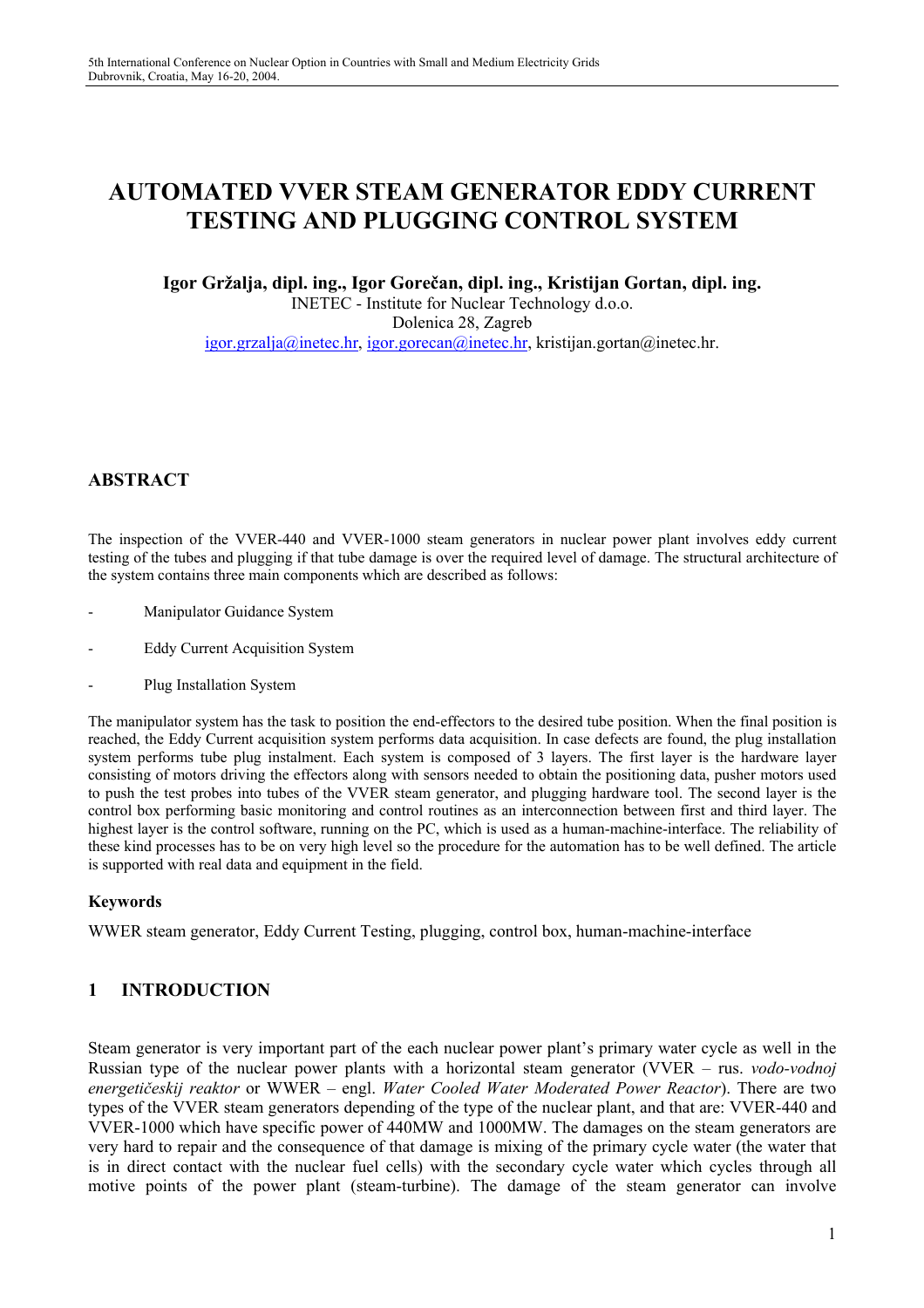# **AUTOMATED VVER STEAM GENERATOR EDDY CURRENT TESTING AND PLUGGING CONTROL SYSTEM**

#### **Igor Gržalja, dipl. ing., Igor Gorečan, dipl. ing., Kristijan Gortan, dipl. ing.**

INETEC - Institute for Nuclear Technology d.o.o. Dolenica 28, Zagreb igor.grzalja@inetec.hr, igor.gorecan@inetec.hr, kristijan.gortan@inetec.hr.

## **ABSTRACT**

The inspection of the VVER-440 and VVER-1000 steam generators in nuclear power plant involves eddy current testing of the tubes and plugging if that tube damage is over the required level of damage. The structural architecture of the system contains three main components which are described as follows:

- Manipulator Guidance System
- Eddy Current Acquisition System
- Plug Installation System

The manipulator system has the task to position the end-effectors to the desired tube position. When the final position is reached, the Eddy Current acquisition system performs data acquisition. In case defects are found, the plug installation system performs tube plug instalment. Each system is composed of 3 layers. The first layer is the hardware layer consisting of motors driving the effectors along with sensors needed to obtain the positioning data, pusher motors used to push the test probes into tubes of the VVER steam generator, and plugging hardware tool. The second layer is the control box performing basic monitoring and control routines as an interconnection between first and third layer. The highest layer is the control software, running on the PC, which is used as a human-machine-interface. The reliability of these kind processes has to be on very high level so the procedure for the automation has to be well defined. The article is supported with real data and equipment in the field.

#### **Keywords**

WWER steam generator, Eddy Current Testing, plugging, control box, human-machine-interface

#### **1 INTRODUCTION**

Steam generator is very important part of the each nuclear power plant's primary water cycle as well in the Russian type of the nuclear power plants with a horizontal steam generator (VVER – rus. *vodo-vodnoj energetičeskij reaktor* or WWER – engl. *Water Cooled Water Moderated Power Reactor*). There are two types of the VVER steam generators depending of the type of the nuclear plant, and that are: VVER-440 and VVER-1000 which have specific power of 440MW and 1000MW. The damages on the steam generators are very hard to repair and the consequence of that damage is mixing of the primary cycle water (the water that is in direct contact with the nuclear fuel cells) with the secondary cycle water which cycles through all motive points of the power plant (steam-turbine). The damage of the steam generator can involve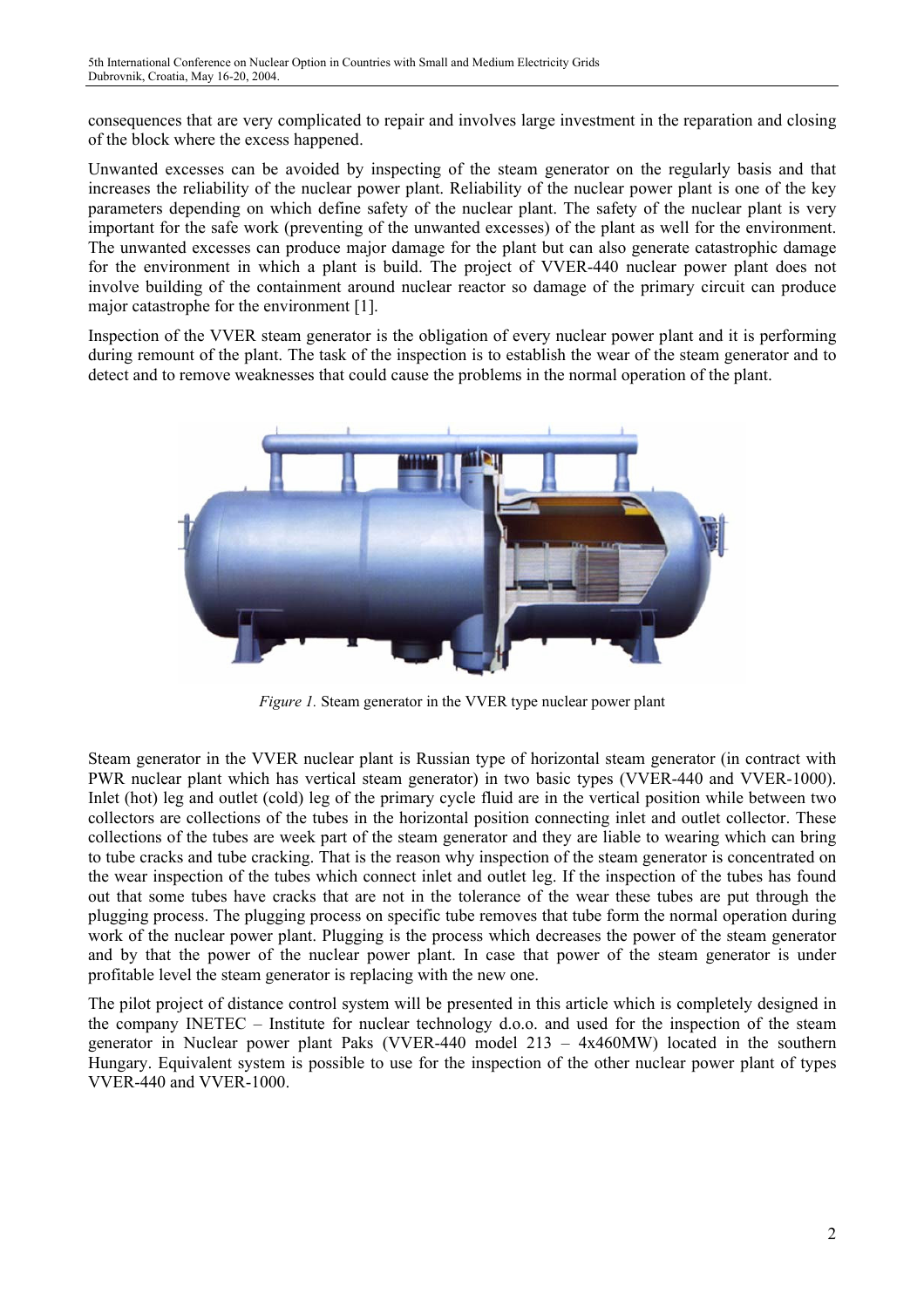consequences that are very complicated to repair and involves large investment in the reparation and closing of the block where the excess happened.

Unwanted excesses can be avoided by inspecting of the steam generator on the regularly basis and that increases the reliability of the nuclear power plant. Reliability of the nuclear power plant is one of the key parameters depending on which define safety of the nuclear plant. The safety of the nuclear plant is very important for the safe work (preventing of the unwanted excesses) of the plant as well for the environment. The unwanted excesses can produce major damage for the plant but can also generate catastrophic damage for the environment in which a plant is build. The project of VVER-440 nuclear power plant does not involve building of the containment around nuclear reactor so damage of the primary circuit can produce major catastrophe for the environment [1].

Inspection of the VVER steam generator is the obligation of every nuclear power plant and it is performing during remount of the plant. The task of the inspection is to establish the wear of the steam generator and to detect and to remove weaknesses that could cause the problems in the normal operation of the plant.



*Figure 1.* Steam generator in the VVER type nuclear power plant

Steam generator in the VVER nuclear plant is Russian type of horizontal steam generator (in contract with PWR nuclear plant which has vertical steam generator) in two basic types (VVER-440 and VVER-1000). Inlet (hot) leg and outlet (cold) leg of the primary cycle fluid are in the vertical position while between two collectors are collections of the tubes in the horizontal position connecting inlet and outlet collector. These collections of the tubes are week part of the steam generator and they are liable to wearing which can bring to tube cracks and tube cracking. That is the reason why inspection of the steam generator is concentrated on the wear inspection of the tubes which connect inlet and outlet leg. If the inspection of the tubes has found out that some tubes have cracks that are not in the tolerance of the wear these tubes are put through the plugging process. The plugging process on specific tube removes that tube form the normal operation during work of the nuclear power plant. Plugging is the process which decreases the power of the steam generator and by that the power of the nuclear power plant. In case that power of the steam generator is under profitable level the steam generator is replacing with the new one.

The pilot project of distance control system will be presented in this article which is completely designed in the company INETEC – Institute for nuclear technology d.o.o. and used for the inspection of the steam generator in Nuclear power plant Paks (VVER-440 model 213 – 4x460MW) located in the southern Hungary. Equivalent system is possible to use for the inspection of the other nuclear power plant of types VVER-440 and VVER-1000.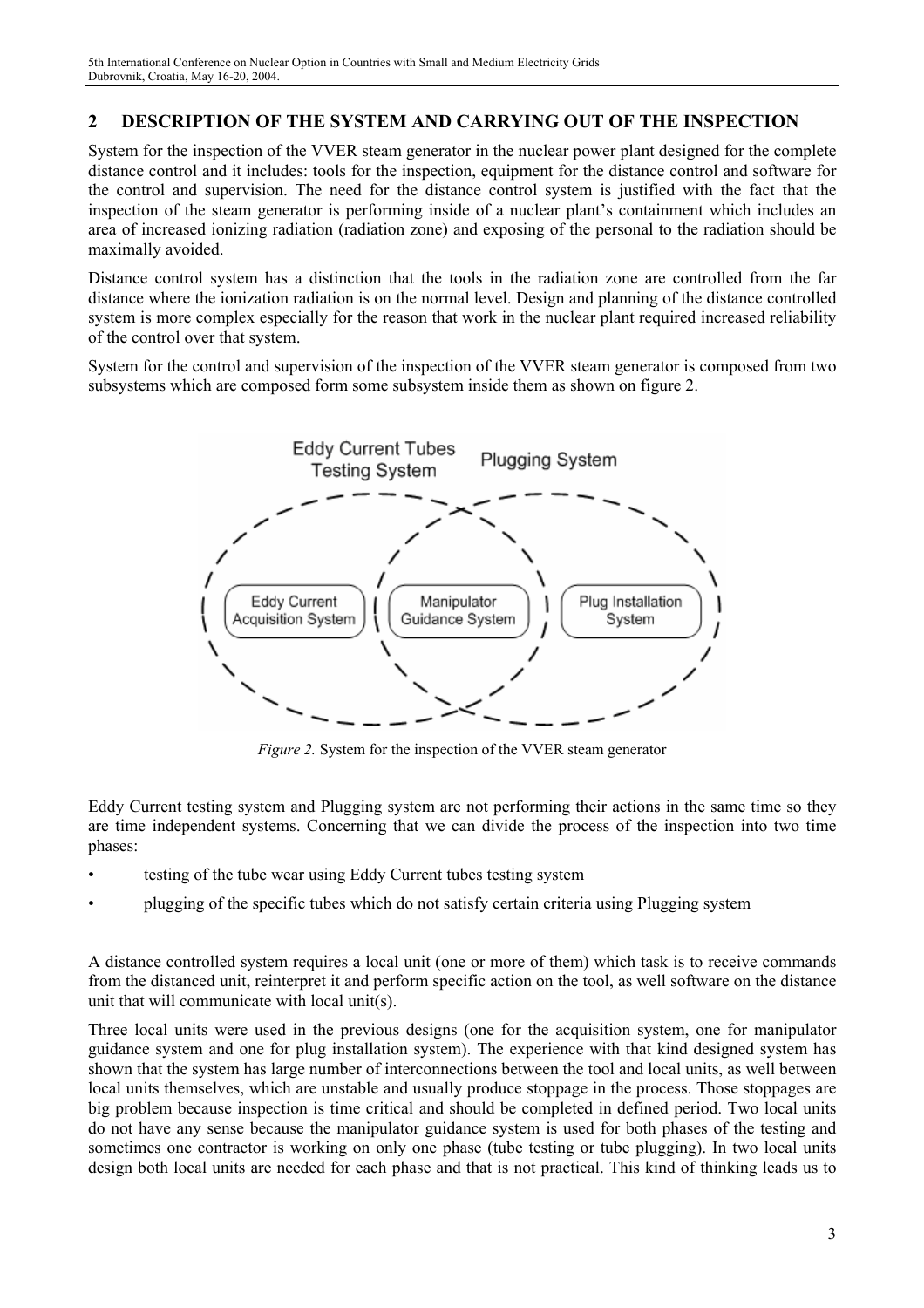## **2 DESCRIPTION OF THE SYSTEM AND CARRYING OUT OF THE INSPECTION**

System for the inspection of the VVER steam generator in the nuclear power plant designed for the complete distance control and it includes: tools for the inspection, equipment for the distance control and software for the control and supervision. The need for the distance control system is justified with the fact that the inspection of the steam generator is performing inside of a nuclear plant's containment which includes an area of increased ionizing radiation (radiation zone) and exposing of the personal to the radiation should be maximally avoided.

Distance control system has a distinction that the tools in the radiation zone are controlled from the far distance where the ionization radiation is on the normal level. Design and planning of the distance controlled system is more complex especially for the reason that work in the nuclear plant required increased reliability of the control over that system.

System for the control and supervision of the inspection of the VVER steam generator is composed from two subsystems which are composed form some subsystem inside them as shown on figure 2.



*Figure 2.* System for the inspection of the VVER steam generator

Eddy Current testing system and Plugging system are not performing their actions in the same time so they are time independent systems. Concerning that we can divide the process of the inspection into two time phases:

- testing of the tube wear using Eddy Current tubes testing system
- plugging of the specific tubes which do not satisfy certain criteria using Plugging system

A distance controlled system requires a local unit (one or more of them) which task is to receive commands from the distanced unit, reinterpret it and perform specific action on the tool, as well software on the distance unit that will communicate with local unit(s).

Three local units were used in the previous designs (one for the acquisition system, one for manipulator guidance system and one for plug installation system). The experience with that kind designed system has shown that the system has large number of interconnections between the tool and local units, as well between local units themselves, which are unstable and usually produce stoppage in the process. Those stoppages are big problem because inspection is time critical and should be completed in defined period. Two local units do not have any sense because the manipulator guidance system is used for both phases of the testing and sometimes one contractor is working on only one phase (tube testing or tube plugging). In two local units design both local units are needed for each phase and that is not practical. This kind of thinking leads us to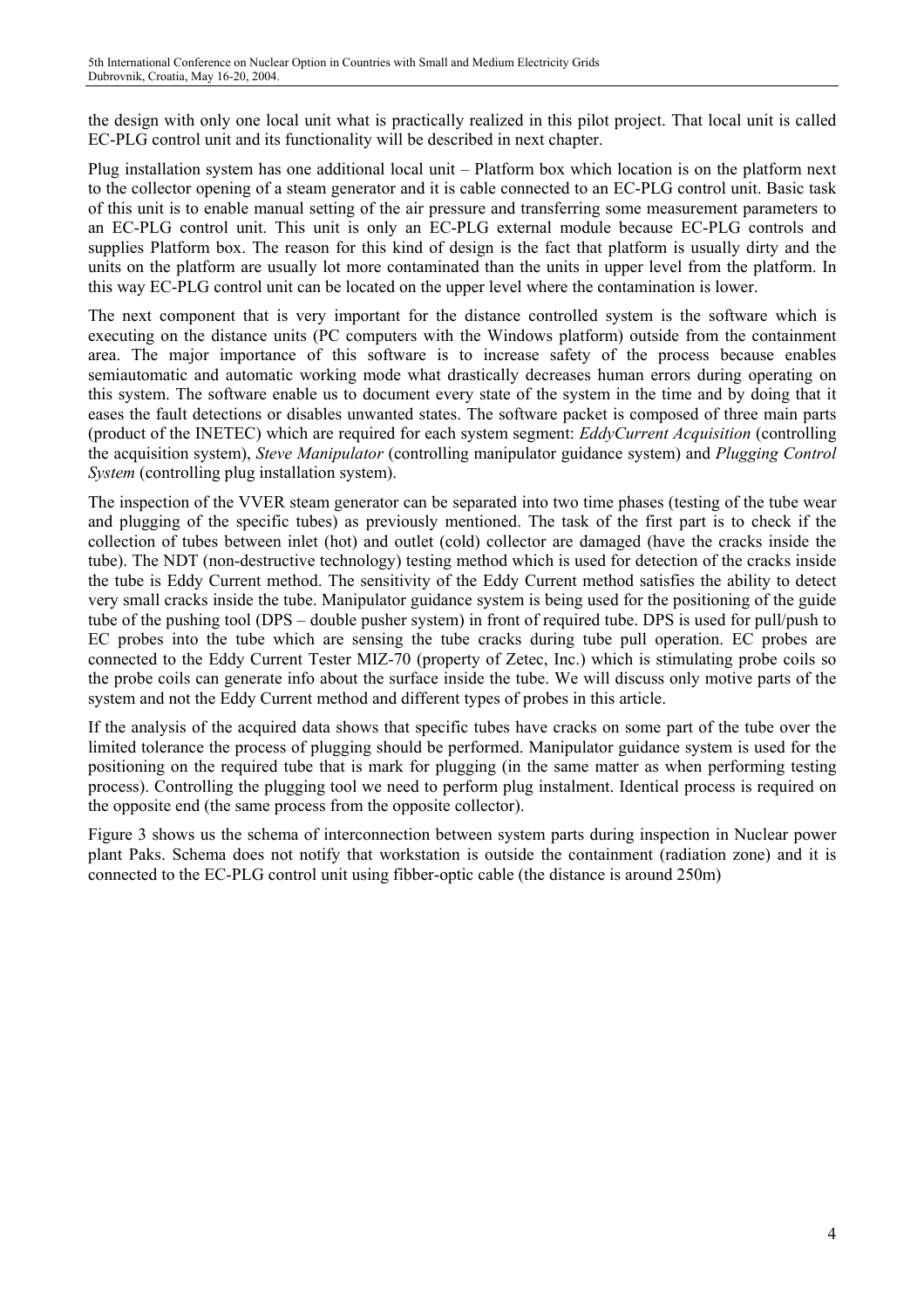the design with only one local unit what is practically realized in this pilot project. That local unit is called EC-PLG control unit and its functionality will be described in next chapter.

Plug installation system has one additional local unit – Platform box which location is on the platform next to the collector opening of a steam generator and it is cable connected to an EC-PLG control unit. Basic task of this unit is to enable manual setting of the air pressure and transferring some measurement parameters to an EC-PLG control unit. This unit is only an EC-PLG external module because EC-PLG controls and supplies Platform box. The reason for this kind of design is the fact that platform is usually dirty and the units on the platform are usually lot more contaminated than the units in upper level from the platform. In this way EC-PLG control unit can be located on the upper level where the contamination is lower.

The next component that is very important for the distance controlled system is the software which is executing on the distance units (PC computers with the Windows platform) outside from the containment area. The major importance of this software is to increase safety of the process because enables semiautomatic and automatic working mode what drastically decreases human errors during operating on this system. The software enable us to document every state of the system in the time and by doing that it eases the fault detections or disables unwanted states. The software packet is composed of three main parts (product of the INETEC) which are required for each system segment: *EddyCurrent Acquisition* (controlling the acquisition system), *Steve Manipulator* (controlling manipulator guidance system) and *Plugging Control System* (controlling plug installation system).

The inspection of the VVER steam generator can be separated into two time phases (testing of the tube wear and plugging of the specific tubes) as previously mentioned. The task of the first part is to check if the collection of tubes between inlet (hot) and outlet (cold) collector are damaged (have the cracks inside the tube). The NDT (non-destructive technology) testing method which is used for detection of the cracks inside the tube is Eddy Current method. The sensitivity of the Eddy Current method satisfies the ability to detect very small cracks inside the tube. Manipulator guidance system is being used for the positioning of the guide tube of the pushing tool (DPS – double pusher system) in front of required tube. DPS is used for pull/push to EC probes into the tube which are sensing the tube cracks during tube pull operation. EC probes are connected to the Eddy Current Tester MIZ-70 (property of Zetec, Inc.) which is stimulating probe coils so the probe coils can generate info about the surface inside the tube. We will discuss only motive parts of the system and not the Eddy Current method and different types of probes in this article.

If the analysis of the acquired data shows that specific tubes have cracks on some part of the tube over the limited tolerance the process of plugging should be performed. Manipulator guidance system is used for the positioning on the required tube that is mark for plugging (in the same matter as when performing testing process). Controlling the plugging tool we need to perform plug instalment. Identical process is required on the opposite end (the same process from the opposite collector).

Figure 3 shows us the schema of interconnection between system parts during inspection in Nuclear power plant Paks. Schema does not notify that workstation is outside the containment (radiation zone) and it is connected to the EC-PLG control unit using fibber-optic cable (the distance is around 250m)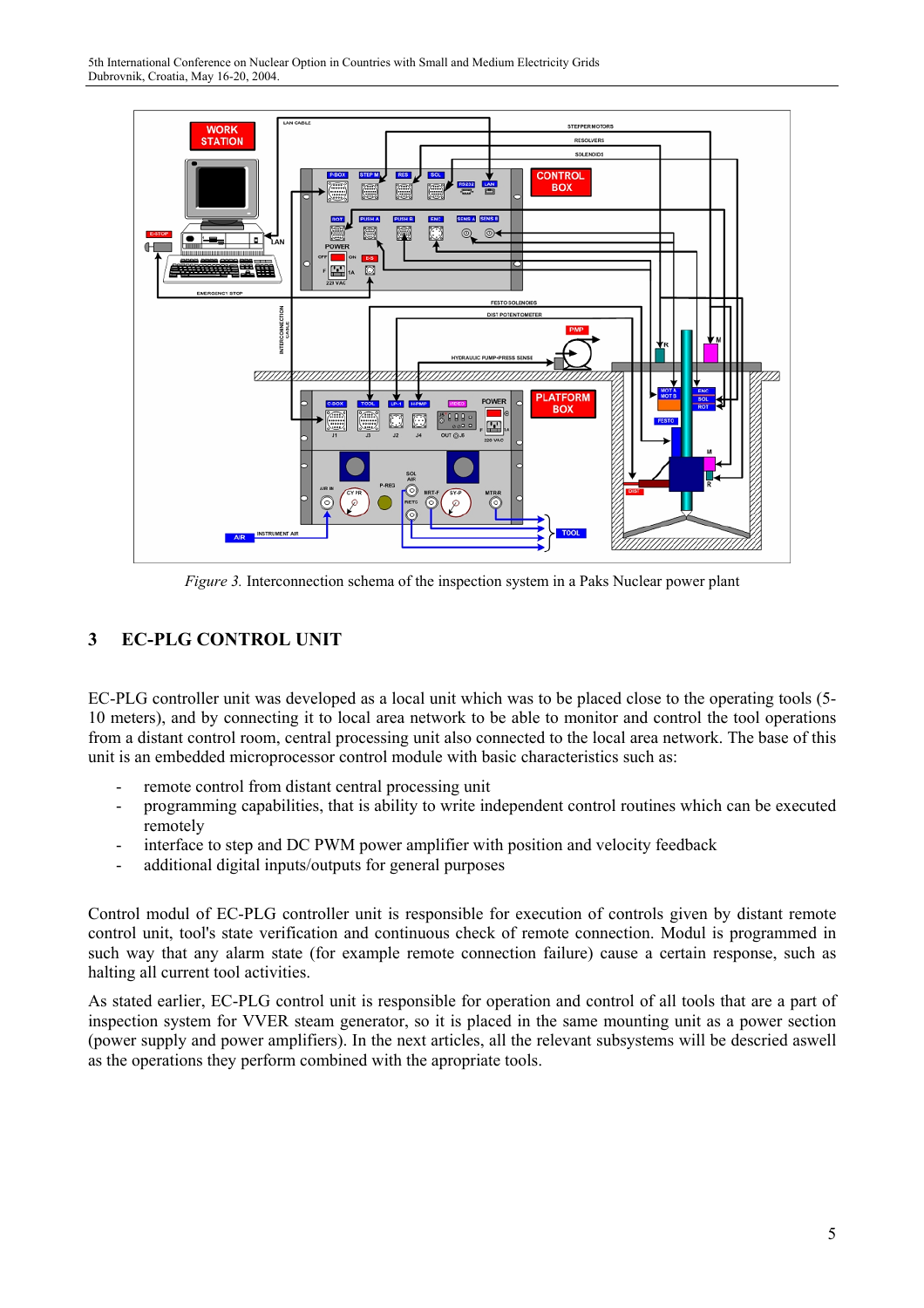

*Figure 3.* Interconnection schema of the inspection system in a Paks Nuclear power plant

## **3 EC-PLG CONTROL UNIT**

EC-PLG controller unit was developed as a local unit which was to be placed close to the operating tools (5- 10 meters), and by connecting it to local area network to be able to monitor and control the tool operations from a distant control room, central processing unit also connected to the local area network. The base of this unit is an embedded microprocessor control module with basic characteristics such as:

- remote control from distant central processing unit
- programming capabilities, that is ability to write independent control routines which can be executed remotely
- interface to step and DC PWM power amplifier with position and velocity feedback
- additional digital inputs/outputs for general purposes

Control modul of EC-PLG controller unit is responsible for execution of controls given by distant remote control unit, tool's state verification and continuous check of remote connection. Modul is programmed in such way that any alarm state (for example remote connection failure) cause a certain response, such as halting all current tool activities.

As stated earlier, EC-PLG control unit is responsible for operation and control of all tools that are a part of inspection system for VVER steam generator, so it is placed in the same mounting unit as a power section (power supply and power amplifiers). In the next articles, all the relevant subsystems will be descried aswell as the operations they perform combined with the apropriate tools.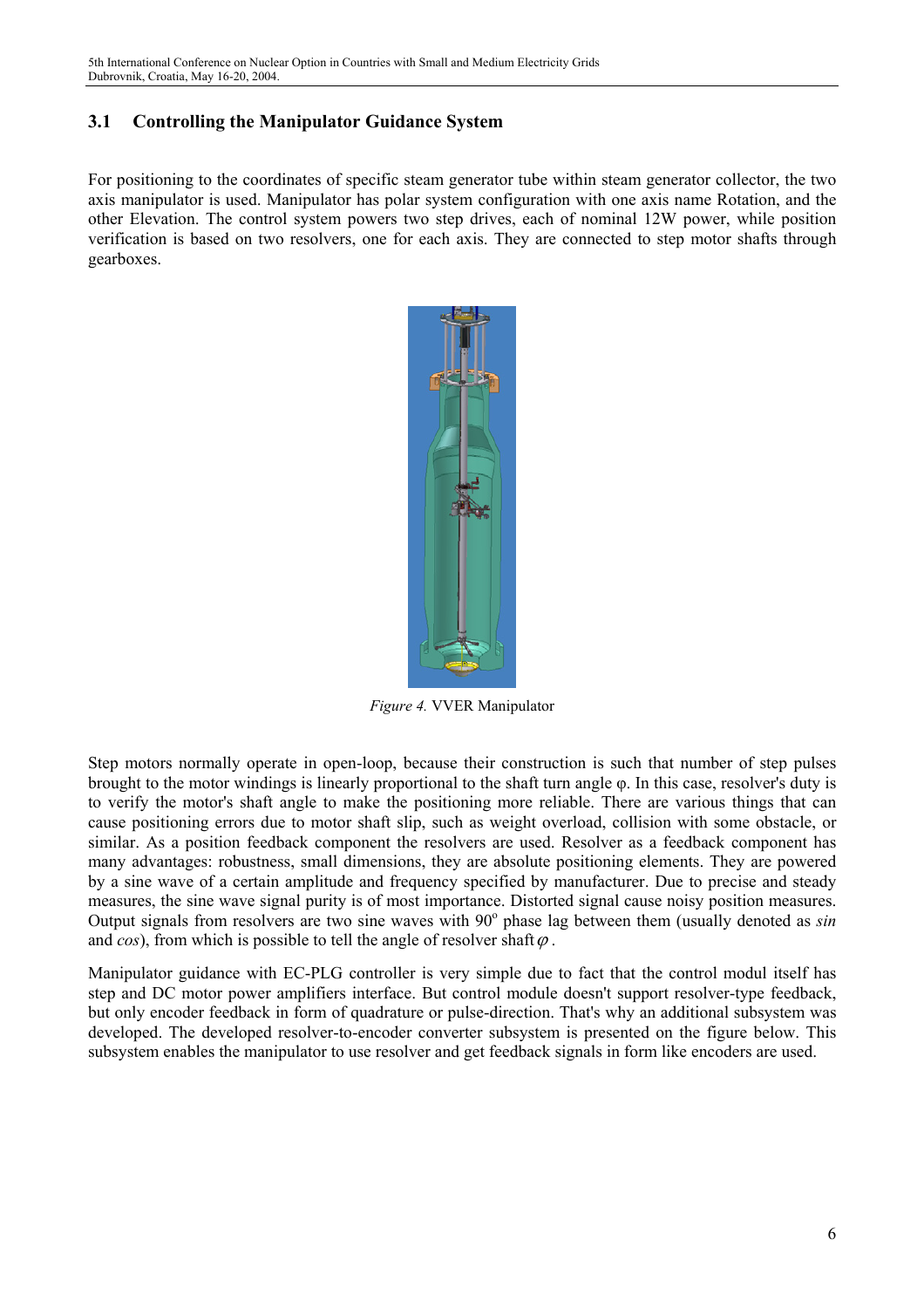## **3.1 Controlling the Manipulator Guidance System**

For positioning to the coordinates of specific steam generator tube within steam generator collector, the two axis manipulator is used. Manipulator has polar system configuration with one axis name Rotation, and the other Elevation. The control system powers two step drives, each of nominal 12W power, while position verification is based on two resolvers, one for each axis. They are connected to step motor shafts through gearboxes.



*Figure 4.* VVER Manipulator

Step motors normally operate in open-loop, because their construction is such that number of step pulses brought to the motor windings is linearly proportional to the shaft turn angle φ. In this case, resolver's duty is to verify the motor's shaft angle to make the positioning more reliable. There are various things that can cause positioning errors due to motor shaft slip, such as weight overload, collision with some obstacle, or similar. As a position feedback component the resolvers are used. Resolver as a feedback component has many advantages: robustness, small dimensions, they are absolute positioning elements. They are powered by a sine wave of a certain amplitude and frequency specified by manufacturer. Due to precise and steady measures, the sine wave signal purity is of most importance. Distorted signal cause noisy position measures. Output signals from resolvers are two sine waves with 90° phase lag between them (usually denoted as *sin* and *cos*), from which is possible to tell the angle of resolver shaft $\varphi$ .

Manipulator guidance with EC-PLG controller is very simple due to fact that the control modul itself has step and DC motor power amplifiers interface. But control module doesn't support resolver-type feedback, but only encoder feedback in form of quadrature or pulse-direction. That's why an additional subsystem was developed. The developed resolver-to-encoder converter subsystem is presented on the figure below. This subsystem enables the manipulator to use resolver and get feedback signals in form like encoders are used.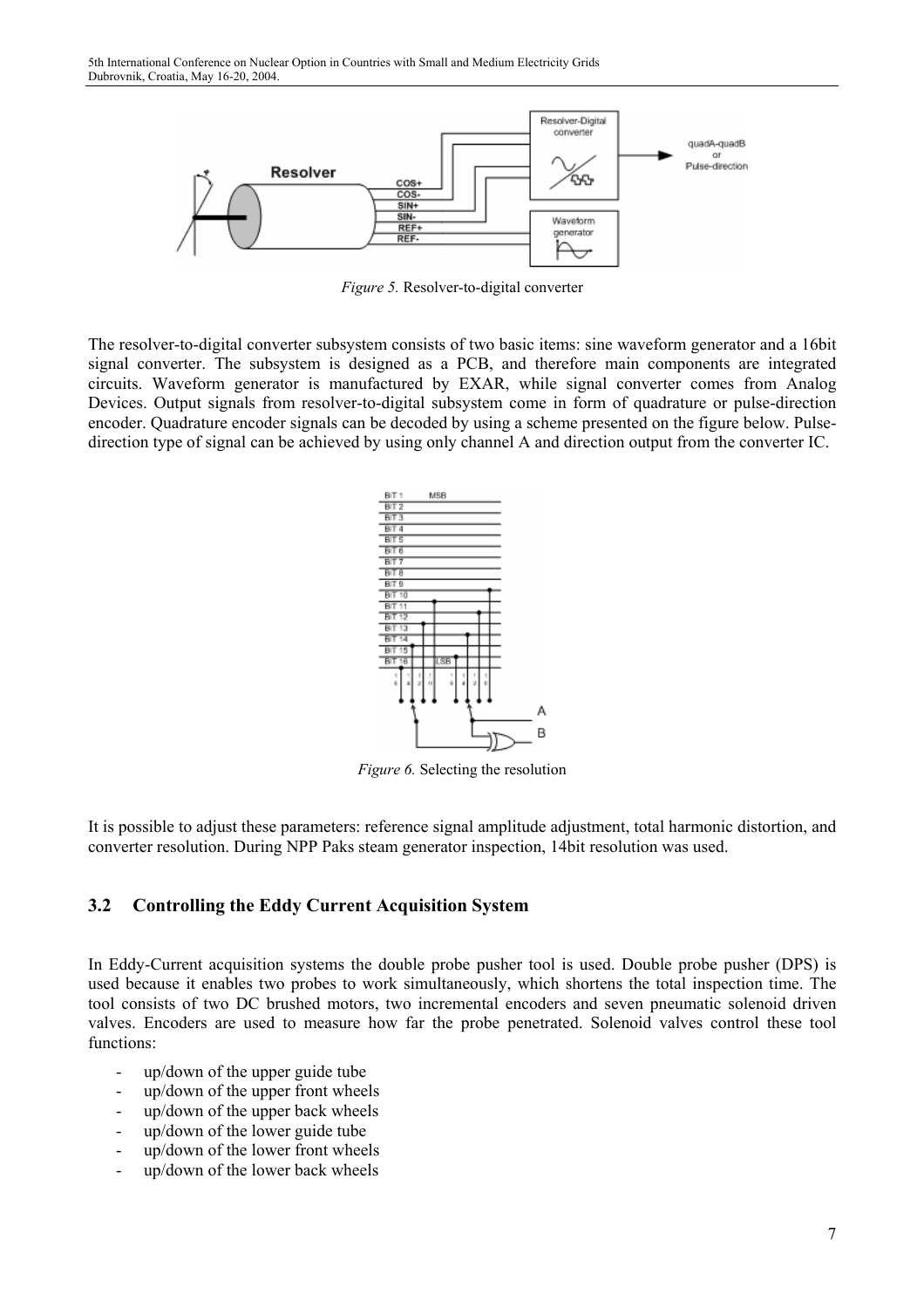

*Figure 5.* Resolver-to-digital converter

The resolver-to-digital converter subsystem consists of two basic items: sine waveform generator and a 16bit signal converter. The subsystem is designed as a PCB, and therefore main components are integrated circuits. Waveform generator is manufactured by EXAR, while signal converter comes from Analog Devices. Output signals from resolver-to-digital subsystem come in form of quadrature or pulse-direction encoder. Quadrature encoder signals can be decoded by using a scheme presented on the figure below. Pulsedirection type of signal can be achieved by using only channel A and direction output from the converter IC.



*Figure 6.* Selecting the resolution

It is possible to adjust these parameters: reference signal amplitude adjustment, total harmonic distortion, and converter resolution. During NPP Paks steam generator inspection, 14bit resolution was used.

#### **3.2 Controlling the Eddy Current Acquisition System**

In Eddy-Current acquisition systems the double probe pusher tool is used. Double probe pusher (DPS) is used because it enables two probes to work simultaneously, which shortens the total inspection time. The tool consists of two DC brushed motors, two incremental encoders and seven pneumatic solenoid driven valves. Encoders are used to measure how far the probe penetrated. Solenoid valves control these tool functions:

- up/down of the upper guide tube
- up/down of the upper front wheels
- up/down of the upper back wheels
- up/down of the lower guide tube
- up/down of the lower front wheels
- up/down of the lower back wheels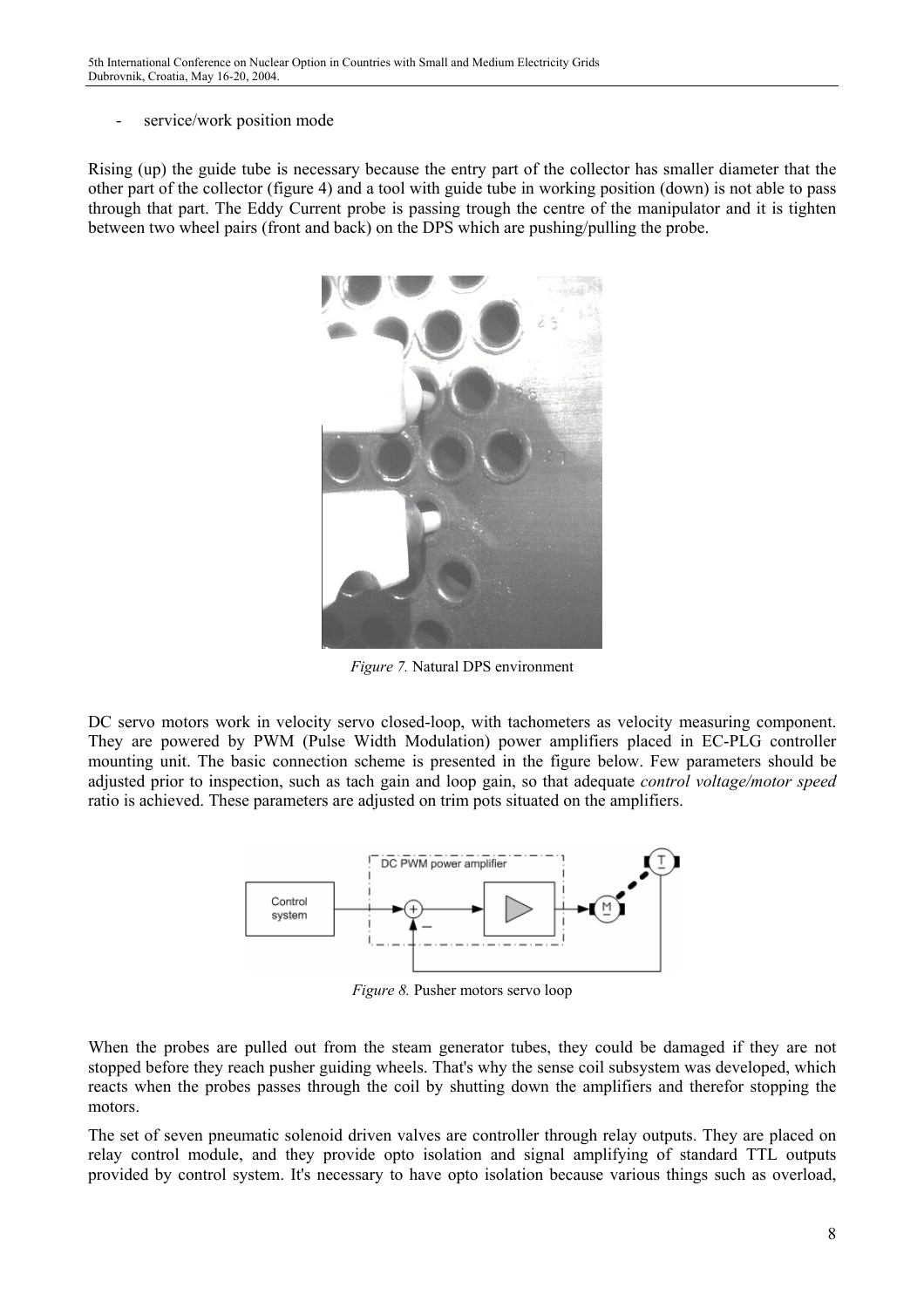service/work position mode

Rising (up) the guide tube is necessary because the entry part of the collector has smaller diameter that the other part of the collector (figure 4) and a tool with guide tube in working position (down) is not able to pass through that part. The Eddy Current probe is passing trough the centre of the manipulator and it is tighten between two wheel pairs (front and back) on the DPS which are pushing/pulling the probe.



*Figure 7.* Natural DPS environment

DC servo motors work in velocity servo closed-loop, with tachometers as velocity measuring component. They are powered by PWM (Pulse Width Modulation) power amplifiers placed in EC-PLG controller mounting unit. The basic connection scheme is presented in the figure below. Few parameters should be adjusted prior to inspection, such as tach gain and loop gain, so that adequate *control voltage/motor speed* ratio is achieved. These parameters are adjusted on trim pots situated on the amplifiers.



*Figure 8.* Pusher motors servo loop

When the probes are pulled out from the steam generator tubes, they could be damaged if they are not stopped before they reach pusher guiding wheels. That's why the sense coil subsystem was developed, which reacts when the probes passes through the coil by shutting down the amplifiers and therefor stopping the motors.

The set of seven pneumatic solenoid driven valves are controller through relay outputs. They are placed on relay control module, and they provide opto isolation and signal amplifying of standard TTL outputs provided by control system. It's necessary to have opto isolation because various things such as overload,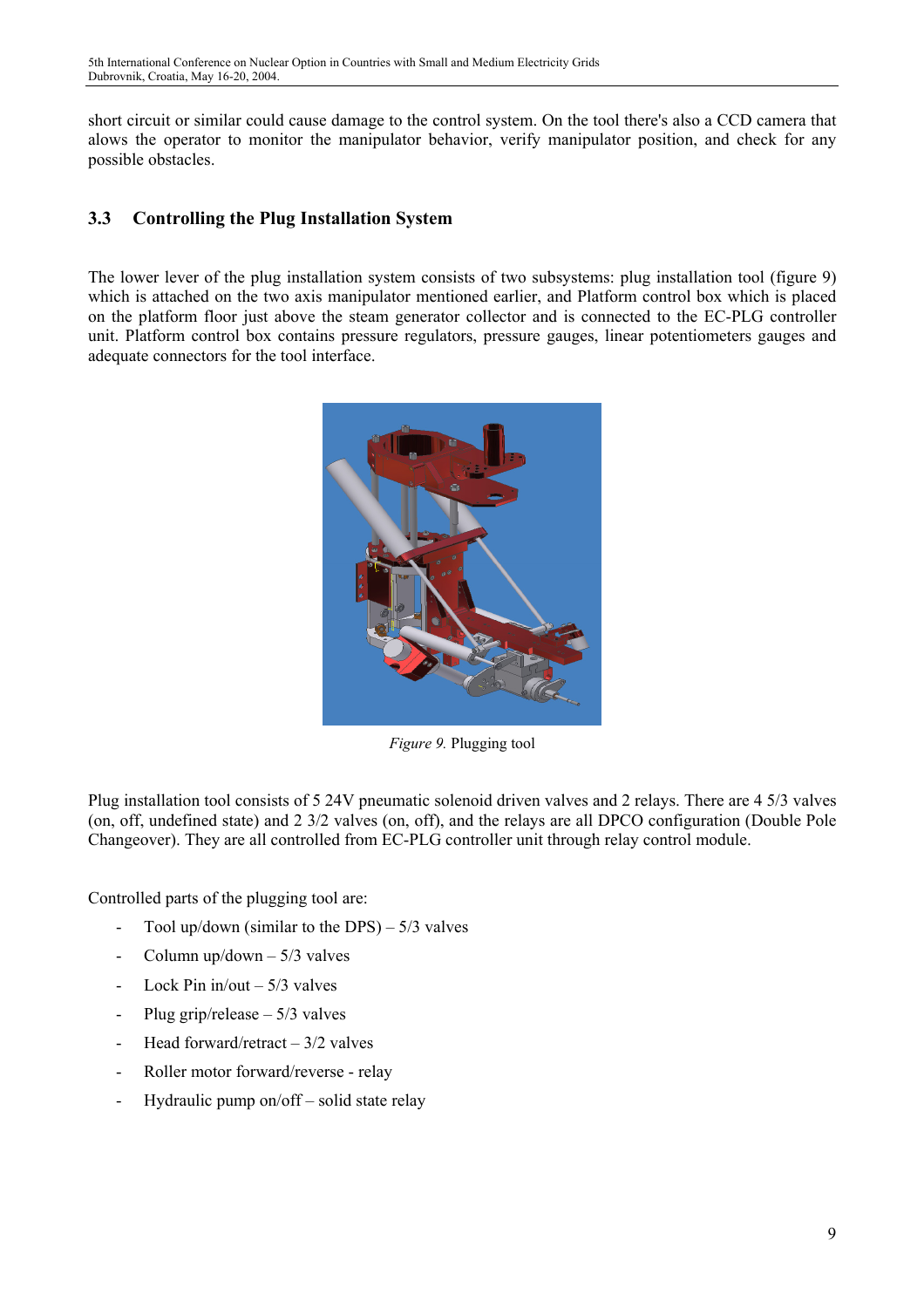short circuit or similar could cause damage to the control system. On the tool there's also a CCD camera that alows the operator to monitor the manipulator behavior, verify manipulator position, and check for any possible obstacles.

## **3.3 Controlling the Plug Installation System**

The lower lever of the plug installation system consists of two subsystems: plug installation tool (figure 9) which is attached on the two axis manipulator mentioned earlier, and Platform control box which is placed on the platform floor just above the steam generator collector and is connected to the EC-PLG controller unit. Platform control box contains pressure regulators, pressure gauges, linear potentiometers gauges and adequate connectors for the tool interface.



*Figure 9.* Plugging tool

Plug installation tool consists of 5 24V pneumatic solenoid driven valves and 2 relays. There are 4 5/3 valves (on, off, undefined state) and 2 3/2 valves (on, off), and the relays are all DPCO configuration (Double Pole Changeover). They are all controlled from EC-PLG controller unit through relay control module.

Controlled parts of the plugging tool are:

- Tool up/down (similar to the DPS) 5/3 valves
- Column up/down 5/3 valves
- Lock Pin in/out 5/3 valves
- Plug grip/release 5/3 valves
- Head forward/retract 3/2 valves
- Roller motor forward/reverse relay
- Hydraulic pump on/off solid state relay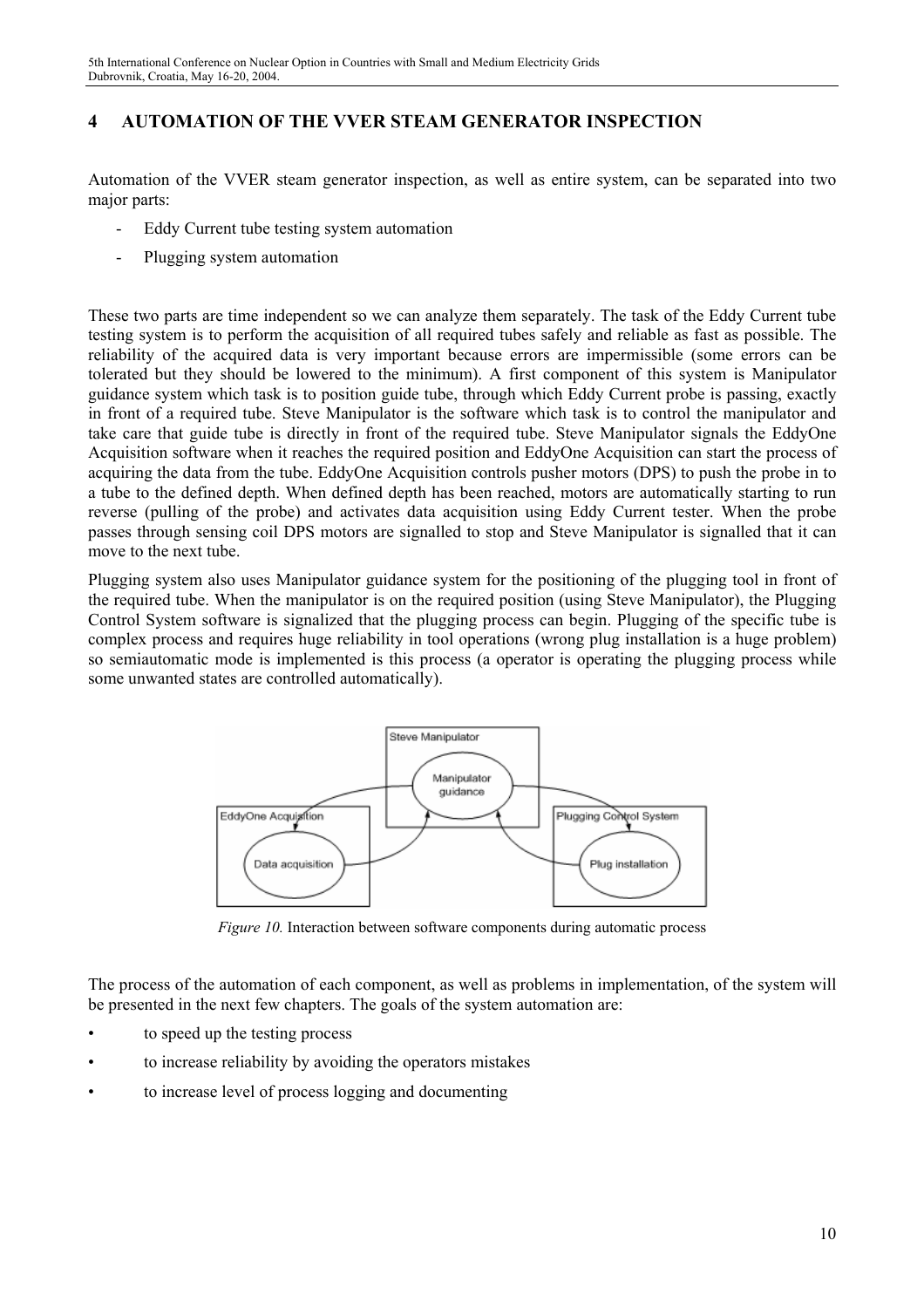## **4 AUTOMATION OF THE VVER STEAM GENERATOR INSPECTION**

Automation of the VVER steam generator inspection, as well as entire system, can be separated into two major parts:

- Eddy Current tube testing system automation
- Plugging system automation

These two parts are time independent so we can analyze them separately. The task of the Eddy Current tube testing system is to perform the acquisition of all required tubes safely and reliable as fast as possible. The reliability of the acquired data is very important because errors are impermissible (some errors can be tolerated but they should be lowered to the minimum). A first component of this system is Manipulator guidance system which task is to position guide tube, through which Eddy Current probe is passing, exactly in front of a required tube. Steve Manipulator is the software which task is to control the manipulator and take care that guide tube is directly in front of the required tube. Steve Manipulator signals the EddyOne Acquisition software when it reaches the required position and EddyOne Acquisition can start the process of acquiring the data from the tube. EddyOne Acquisition controls pusher motors (DPS) to push the probe in to a tube to the defined depth. When defined depth has been reached, motors are automatically starting to run reverse (pulling of the probe) and activates data acquisition using Eddy Current tester. When the probe passes through sensing coil DPS motors are signalled to stop and Steve Manipulator is signalled that it can move to the next tube.

Plugging system also uses Manipulator guidance system for the positioning of the plugging tool in front of the required tube. When the manipulator is on the required position (using Steve Manipulator), the Plugging Control System software is signalized that the plugging process can begin. Plugging of the specific tube is complex process and requires huge reliability in tool operations (wrong plug installation is a huge problem) so semiautomatic mode is implemented is this process (a operator is operating the plugging process while some unwanted states are controlled automatically).



*Figure 10.* Interaction between software components during automatic process

The process of the automation of each component, as well as problems in implementation, of the system will be presented in the next few chapters. The goals of the system automation are:

- to speed up the testing process
- to increase reliability by avoiding the operators mistakes
- to increase level of process logging and documenting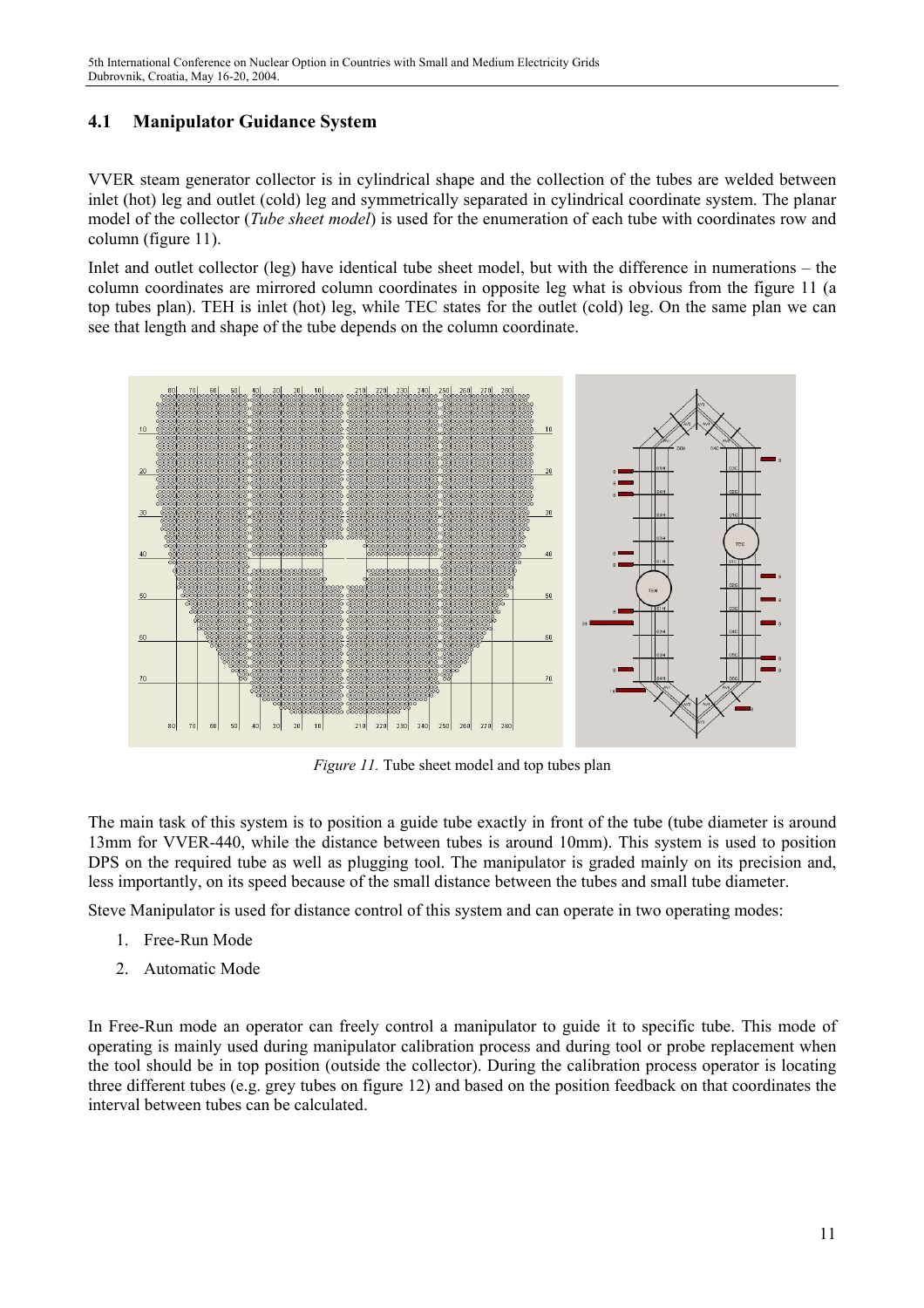## **4.1 Manipulator Guidance System**

VVER steam generator collector is in cylindrical shape and the collection of the tubes are welded between inlet (hot) leg and outlet (cold) leg and symmetrically separated in cylindrical coordinate system. The planar model of the collector (*Tube sheet model*) is used for the enumeration of each tube with coordinates row and column (figure 11).

Inlet and outlet collector (leg) have identical tube sheet model, but with the difference in numerations – the column coordinates are mirrored column coordinates in opposite leg what is obvious from the figure 11 (a top tubes plan). TEH is inlet (hot) leg, while TEC states for the outlet (cold) leg. On the same plan we can see that length and shape of the tube depends on the column coordinate.



*Figure 11.* Tube sheet model and top tubes plan

The main task of this system is to position a guide tube exactly in front of the tube (tube diameter is around 13mm for VVER-440, while the distance between tubes is around 10mm). This system is used to position DPS on the required tube as well as plugging tool. The manipulator is graded mainly on its precision and, less importantly, on its speed because of the small distance between the tubes and small tube diameter.

Steve Manipulator is used for distance control of this system and can operate in two operating modes:

- 1. Free-Run Mode
- 2. Automatic Mode

In Free-Run mode an operator can freely control a manipulator to guide it to specific tube. This mode of operating is mainly used during manipulator calibration process and during tool or probe replacement when the tool should be in top position (outside the collector). During the calibration process operator is locating three different tubes (e.g. grey tubes on figure 12) and based on the position feedback on that coordinates the interval between tubes can be calculated.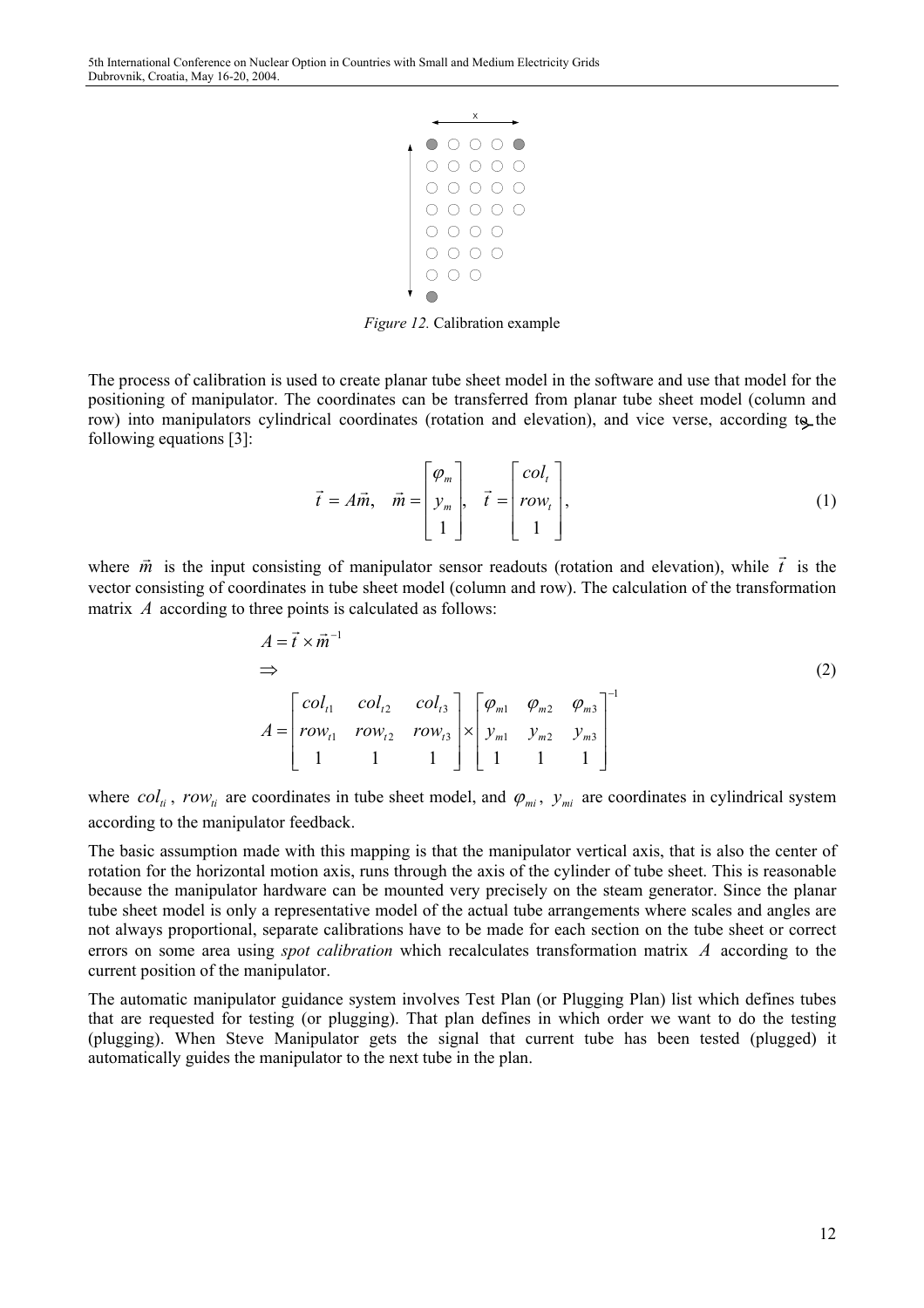

*Figure 12.* Calibration example

The process of calibration is used to create planar tube sheet model in the software and use that model for the positioning of manipulator. The coordinates can be transferred from planar tube sheet model (column and row) into manipulators cylindrical coordinates (rotation and elevation), and vice verse, according to the following equations [3]:

$$
\vec{t} = A\vec{m}, \quad \vec{m} = \begin{bmatrix} \varphi_m \\ y_m \\ 1 \end{bmatrix}, \quad \vec{t} = \begin{bmatrix} col_t \\ row_t \\ 1 \end{bmatrix}, \tag{1}
$$

where  $\vec{m}$  is the input consisting of manipulator sensor readouts (rotation and elevation), while  $\vec{t}$  is the vector consisting of coordinates in tube sheet model (column and row). The calculation of the transformation matrix *A* according to three points is calculated as follows:

$$
A = \vec{t} \times \vec{m}^{-1}
$$
  
\n
$$
\Rightarrow
$$
  
\n
$$
A = \begin{bmatrix} col_{t1} & col_{t2} & col_{t3} \\ row_{t1} & row_{t2} & row_{t3} \\ 1 & 1 & 1 \end{bmatrix} \times \begin{bmatrix} \varphi_{m1} & \varphi_{m2} & \varphi_{m3} \\ y_{m1} & y_{m2} & y_{m3} \\ 1 & 1 & 1 \end{bmatrix}^{-1}
$$
 (2)

where  $col_{ti}$ ,  $row_{ti}$  are coordinates in tube sheet model, and  $\varphi_{mi}$ ,  $y_{mi}$  are coordinates in cylindrical system according to the manipulator feedback.

The basic assumption made with this mapping is that the manipulator vertical axis, that is also the center of rotation for the horizontal motion axis, runs through the axis of the cylinder of tube sheet. This is reasonable because the manipulator hardware can be mounted very precisely on the steam generator. Since the planar tube sheet model is only a representative model of the actual tube arrangements where scales and angles are not always proportional, separate calibrations have to be made for each section on the tube sheet or correct errors on some area using *spot calibration* which recalculates transformation matrix A according to the current position of the manipulator.

The automatic manipulator guidance system involves Test Plan (or Plugging Plan) list which defines tubes that are requested for testing (or plugging). That plan defines in which order we want to do the testing (plugging). When Steve Manipulator gets the signal that current tube has been tested (plugged) it automatically guides the manipulator to the next tube in the plan.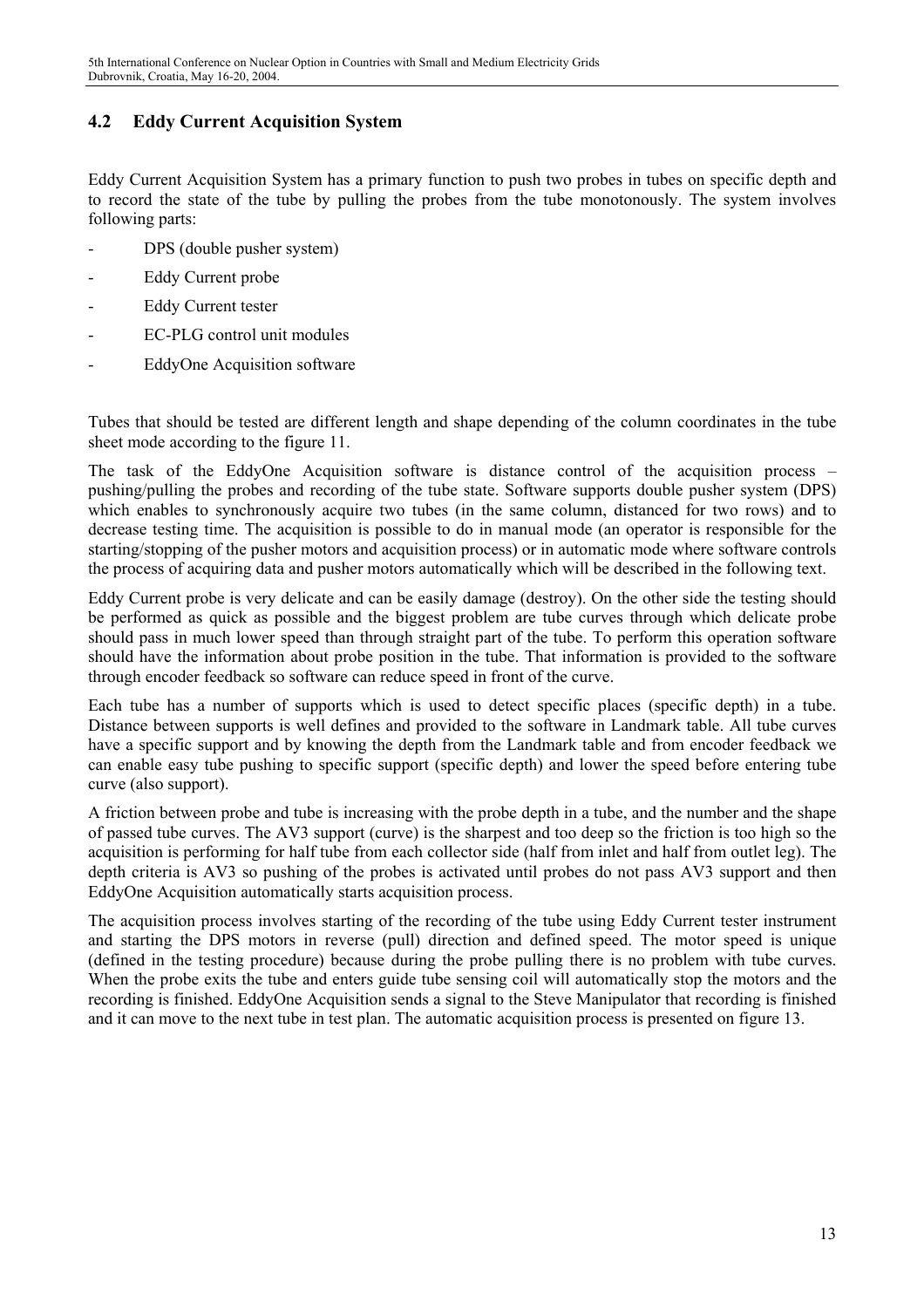## **4.2 Eddy Current Acquisition System**

Eddy Current Acquisition System has a primary function to push two probes in tubes on specific depth and to record the state of the tube by pulling the probes from the tube monotonously. The system involves following parts:

- DPS (double pusher system)
- Eddy Current probe
- Eddy Current tester
- EC-PLG control unit modules
- EddyOne Acquisition software

Tubes that should be tested are different length and shape depending of the column coordinates in the tube sheet mode according to the figure 11.

The task of the EddyOne Acquisition software is distance control of the acquisition process – pushing/pulling the probes and recording of the tube state. Software supports double pusher system (DPS) which enables to synchronously acquire two tubes (in the same column, distanced for two rows) and to decrease testing time. The acquisition is possible to do in manual mode (an operator is responsible for the starting/stopping of the pusher motors and acquisition process) or in automatic mode where software controls the process of acquiring data and pusher motors automatically which will be described in the following text.

Eddy Current probe is very delicate and can be easily damage (destroy). On the other side the testing should be performed as quick as possible and the biggest problem are tube curves through which delicate probe should pass in much lower speed than through straight part of the tube. To perform this operation software should have the information about probe position in the tube. That information is provided to the software through encoder feedback so software can reduce speed in front of the curve.

Each tube has a number of supports which is used to detect specific places (specific depth) in a tube. Distance between supports is well defines and provided to the software in Landmark table. All tube curves have a specific support and by knowing the depth from the Landmark table and from encoder feedback we can enable easy tube pushing to specific support (specific depth) and lower the speed before entering tube curve (also support).

A friction between probe and tube is increasing with the probe depth in a tube, and the number and the shape of passed tube curves. The AV3 support (curve) is the sharpest and too deep so the friction is too high so the acquisition is performing for half tube from each collector side (half from inlet and half from outlet leg). The depth criteria is AV3 so pushing of the probes is activated until probes do not pass AV3 support and then EddyOne Acquisition automatically starts acquisition process.

The acquisition process involves starting of the recording of the tube using Eddy Current tester instrument and starting the DPS motors in reverse (pull) direction and defined speed. The motor speed is unique (defined in the testing procedure) because during the probe pulling there is no problem with tube curves. When the probe exits the tube and enters guide tube sensing coil will automatically stop the motors and the recording is finished. EddyOne Acquisition sends a signal to the Steve Manipulator that recording is finished and it can move to the next tube in test plan. The automatic acquisition process is presented on figure 13.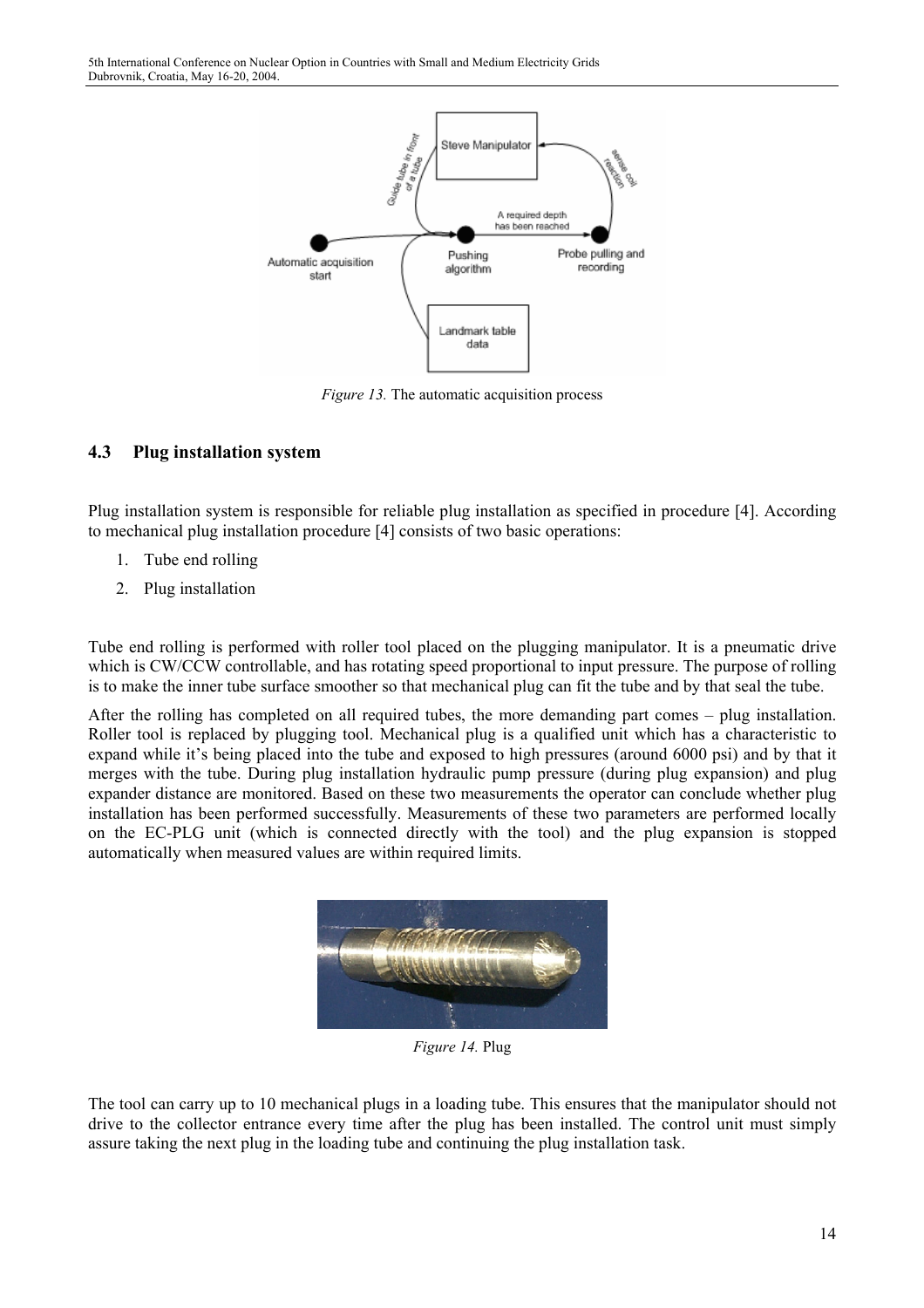

*Figure 13.* The automatic acquisition process

## **4.3 Plug installation system**

Plug installation system is responsible for reliable plug installation as specified in procedure [4]. According to mechanical plug installation procedure [4] consists of two basic operations:

- 1. Tube end rolling
- 2. Plug installation

Tube end rolling is performed with roller tool placed on the plugging manipulator. It is a pneumatic drive which is CW/CCW controllable, and has rotating speed proportional to input pressure. The purpose of rolling is to make the inner tube surface smoother so that mechanical plug can fit the tube and by that seal the tube.

After the rolling has completed on all required tubes, the more demanding part comes – plug installation. Roller tool is replaced by plugging tool. Mechanical plug is a qualified unit which has a characteristic to expand while it's being placed into the tube and exposed to high pressures (around 6000 psi) and by that it merges with the tube. During plug installation hydraulic pump pressure (during plug expansion) and plug expander distance are monitored. Based on these two measurements the operator can conclude whether plug installation has been performed successfully. Measurements of these two parameters are performed locally on the EC-PLG unit (which is connected directly with the tool) and the plug expansion is stopped automatically when measured values are within required limits.



*Figure 14.* Plug

The tool can carry up to 10 mechanical plugs in a loading tube. This ensures that the manipulator should not drive to the collector entrance every time after the plug has been installed. The control unit must simply assure taking the next plug in the loading tube and continuing the plug installation task.